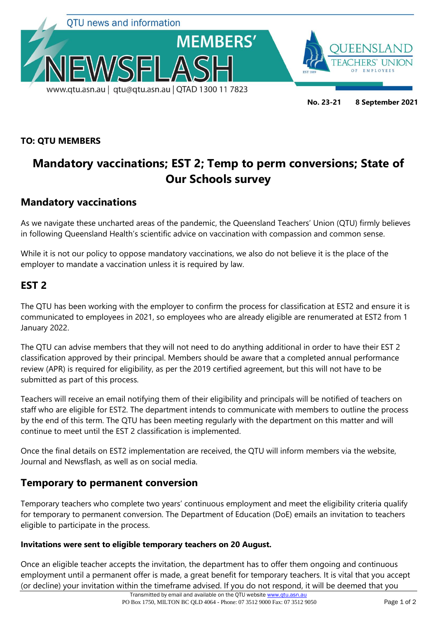

#### **TO: QTU MEMBERS**

# **Mandatory vaccinations; EST 2; Temp to perm conversions; State of Our Schools survey**

## **Mandatory vaccinations**

As we navigate these uncharted areas of the pandemic, the Queensland Teachers' Union (QTU) firmly believes in following Queensland Health's scientific advice on vaccination with compassion and common sense.

While it is not our policy to oppose mandatory vaccinations, we also do not believe it is the place of the employer to mandate a vaccination unless it is required by law.

### **EST 2**

The QTU has been working with the employer to confirm the process for classification at EST2 and ensure it is communicated to employees in 2021, so employees who are already eligible are renumerated at EST2 from 1 January 2022.

The QTU can advise members that they will not need to do anything additional in order to have their EST 2 classification approved by their principal. Members should be aware that a completed annual performance review (APR) is required for eligibility, as per the 2019 certified agreement, but this will not have to be submitted as part of this process.

Teachers will receive an email notifying them of their eligibility and principals will be notified of teachers on staff who are eligible for EST2. The department intends to communicate with members to outline the process by the end of this term. The QTU has been meeting regularly with the department on this matter and will continue to meet until the EST 2 classification is implemented.

Once the final details on EST2 implementation are received, the QTU will inform members via the website, Journal and Newsflash, as well as on social media.

#### **Temporary to permanent conversion**

Temporary teachers who complete two years' continuous employment and meet the eligibility criteria qualify for temporary to permanent conversion. The Department of Education (DoE) emails an invitation to teachers eligible to participate in the process.

#### **Invitations were sent to eligible temporary teachers on 20 August.**

Once an eligible teacher accepts the invitation, the department has to offer them ongoing and continuous employment until a permanent offer is made, a great benefit for temporary teachers. It is vital that you accept (or decline) your invitation within the timeframe advised. If you do not respond, it will be deemed that you